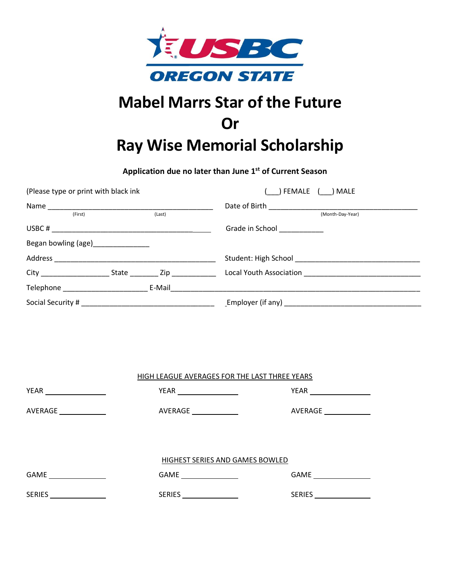

# **Mabel Marrs Star of the Future Or Ray Wise Memorial Scholarship**

**Application due no later than June 1 st of Current Season**

| (Please type or print with black ink                                      | FEMALE ( ) MALE                                |  |  |
|---------------------------------------------------------------------------|------------------------------------------------|--|--|
| (Last)<br>(First)                                                         | (Month-Day-Year)                               |  |  |
|                                                                           | Grade in School<br>School                      |  |  |
| Began bowling (age)________________                                       |                                                |  |  |
|                                                                           |                                                |  |  |
| City _____________________________ State ____________ Zip _______________ | Local Youth Association ______________________ |  |  |
| Telephone E-Mail                                                          |                                                |  |  |
|                                                                           |                                                |  |  |

|                        | HIGH LEAGUE AVERAGES FOR THE LAST THREE YEARS |                       |  |  |  |
|------------------------|-----------------------------------------------|-----------------------|--|--|--|
| YEAR                   |                                               | YEAR ________________ |  |  |  |
| AVERAGE ______________ | AVERAGE _______________                       | AVERAGE               |  |  |  |
|                        |                                               |                       |  |  |  |
|                        |                                               |                       |  |  |  |
|                        | HIGHEST SERIES AND GAMES BOWLED               |                       |  |  |  |
| GAME ________________  |                                               | GAME ____________     |  |  |  |
| SERIES _______________ |                                               | SERIES                |  |  |  |
|                        |                                               |                       |  |  |  |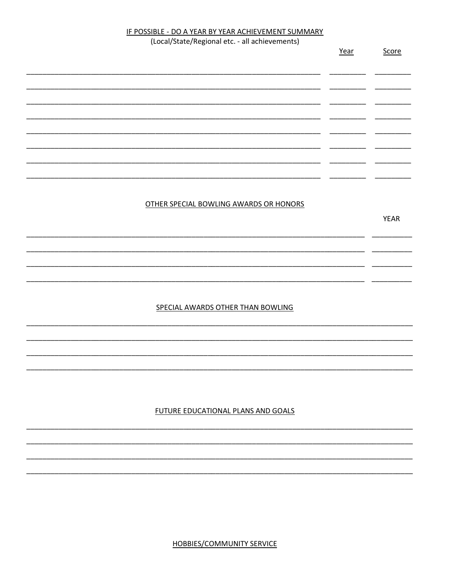#### IF POSSIBLE - DO A YEAR BY YEAR ACHIEVEMENT SUMMARY

(Local/State/Regional etc. - all achievements)

| <u>Year</u> | Score |
|-------------|-------|
|             |       |
|             |       |
|             |       |
|             |       |
|             |       |
|             |       |
|             |       |
|             |       |

#### OTHER SPECIAL BOWLING AWARDS OR HONORS

**YEAR** 

#### SPECIAL AWARDS OTHER THAN BOWLING

#### FUTURE EDUCATIONAL PLANS AND GOALS